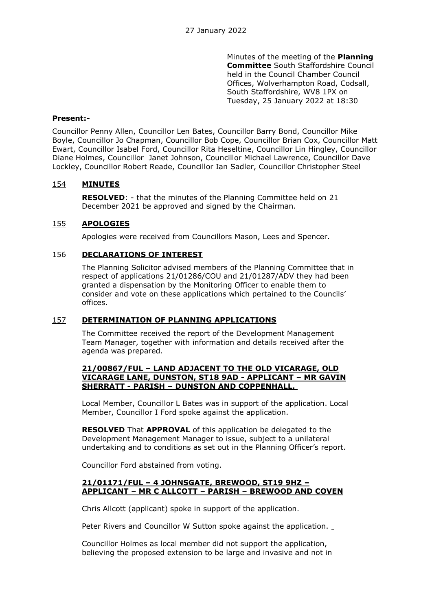Minutes of the meeting of the **Planning Committee** South Staffordshire Council held in the Council Chamber Council Offices, Wolverhampton Road, Codsall, South Staffordshire, WV8 1PX on Tuesday, 25 January 2022 at 18:30

### **Present:-**

Councillor Penny Allen, Councillor Len Bates, Councillor Barry Bond, Councillor Mike Boyle, Councillor Jo Chapman, Councillor Bob Cope, Councillor Brian Cox, Councillor Matt Ewart, Councillor Isabel Ford, Councillor Rita Heseltine, Councillor Lin Hingley, Councillor Diane Holmes, Councillor Janet Johnson, Councillor Michael Lawrence, Councillor Dave Lockley, Councillor Robert Reade, Councillor Ian Sadler, Councillor Christopher Steel

# 154 **MINUTES**

**RESOLVED**: - that the minutes of the Planning Committee held on 21 December 2021 be approved and signed by the Chairman.

# 155 **APOLOGIES**

Apologies were received from Councillors Mason, Lees and Spencer.

## 156 **DECLARATIONS OF INTEREST**

The Planning Solicitor advised members of the Planning Committee that in respect of applications 21/01286/COU and 21/01287/ADV they had been granted a dispensation by the Monitoring Officer to enable them to consider and vote on these applications which pertained to the Councils' offices.

### 157 **DETERMINATION OF PLANNING APPLICATIONS**

The Committee received the report of the Development Management Team Manager, together with information and details received after the agenda was prepared.

### **21/00867/FUL – LAND ADJACENT TO THE OLD VICARAGE, OLD VICARAGE LANE, DUNSTON, ST18 9AD - APPLICANT – MR GAVIN SHERRATT - PARISH – DUNSTON AND COPPENHALL.**

Local Member, Councillor L Bates was in support of the application. Local Member, Councillor I Ford spoke against the application.

**RESOLVED** That **APPROVAL** of this application be delegated to the Development Management Manager to issue, subject to a unilateral undertaking and to conditions as set out in the Planning Officer's report.

Councillor Ford abstained from voting.

## **21/01171/FUL – 4 JOHNSGATE, BREWOOD, ST19 9HZ – APPLICANT – MR C ALLCOTT – PARISH – BREWOOD AND COVEN**

Chris Allcott (applicant) spoke in support of the application.

Peter Rivers and Councillor W Sutton spoke against the application.

Councillor Holmes as local member did not support the application, believing the proposed extension to be large and invasive and not in